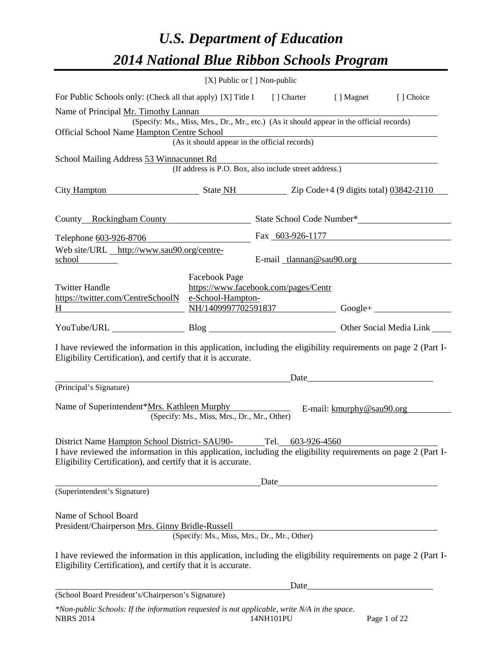# *U.S. Department of Education 2014 National Blue Ribbon Schools Program*

|                                                                                                                                                                                                                                | [X] Public or [] Non-public                                                                                                                                |                                                                                                                      |      |  |
|--------------------------------------------------------------------------------------------------------------------------------------------------------------------------------------------------------------------------------|------------------------------------------------------------------------------------------------------------------------------------------------------------|----------------------------------------------------------------------------------------------------------------------|------|--|
| For Public Schools only: (Check all that apply) [X] Title I [] Charter [] Magnet [] Choice                                                                                                                                     |                                                                                                                                                            |                                                                                                                      |      |  |
| Name of Principal Mr. Timothy Lannan<br>Official School Name Hampton Centre School                                                                                                                                             | (Specify: Ms., Miss, Mrs., Dr., Mr., etc.) (As it should appear in the official records)<br>Centre School<br>(As it should appear in the official records) | <u> 1980 - Johann Barn, mars ann an t-Amhain Aonaich an t-Aonaich an t-Aonaich ann an t-Aonaich ann an t-Aonaich</u> |      |  |
|                                                                                                                                                                                                                                |                                                                                                                                                            |                                                                                                                      |      |  |
| School Mailing Address 53 Winnacunnet Rd                                                                                                                                                                                       | (If address is P.O. Box, also include street address.)                                                                                                     |                                                                                                                      |      |  |
| City Hampton State NH Zip Code+4 (9 digits total) 03842-2110                                                                                                                                                                   |                                                                                                                                                            |                                                                                                                      |      |  |
| County Rockingham County State School Code Number*                                                                                                                                                                             |                                                                                                                                                            |                                                                                                                      |      |  |
| Telephone 603-926-8706                                                                                                                                                                                                         |                                                                                                                                                            | Fax 603-926-1177                                                                                                     |      |  |
| Web site/URL http://www.sau90.org/centre-<br>school                                                                                                                                                                            |                                                                                                                                                            | E-mail tlannan@sau90.org                                                                                             |      |  |
| <b>Twitter Handle</b><br>https://twitter.com/CentreSchoolN<br>H<br><u> 1989 - Johann Barbara, martxa alemaniar a</u>                                                                                                           | Facebook Page<br>e-School-Hampton-                                                                                                                         | https://www.facebook.com/pages/Centr<br>$NH/1409997702591837$ Google+                                                |      |  |
|                                                                                                                                                                                                                                |                                                                                                                                                            |                                                                                                                      |      |  |
| I have reviewed the information in this application, including the eligibility requirements on page 2 (Part I-<br>Eligibility Certification), and certify that it is accurate.                                                 |                                                                                                                                                            |                                                                                                                      |      |  |
| (Principal's Signature)                                                                                                                                                                                                        |                                                                                                                                                            |                                                                                                                      |      |  |
| Name of Superintendent*Mrs. Kathleen Murphy E-mail: kmurphy@sau90.org                                                                                                                                                          | (Specify: Ms., Miss, Mrs., Dr., Mr., Other)                                                                                                                |                                                                                                                      |      |  |
| District Name Hampton School District-SAU90-<br>I have reviewed the information in this application, including the eligibility requirements on page 2 (Part I-<br>Eligibility Certification), and certify that it is accurate. |                                                                                                                                                            | Tel.<br>603-926-4560                                                                                                 |      |  |
|                                                                                                                                                                                                                                |                                                                                                                                                            |                                                                                                                      | Date |  |
| (Superintendent's Signature)                                                                                                                                                                                                   |                                                                                                                                                            |                                                                                                                      |      |  |
| Name of School Board<br>President/Chairperson Mrs. Ginny Bridle-Russell                                                                                                                                                        | (Specify: Ms., Miss, Mrs., Dr., Mr., Other)<br>(Specify: Ms., Miss, Mrs., Dr., Mr., Other)                                                                 |                                                                                                                      |      |  |
| I have reviewed the information in this application, including the eligibility requirements on page 2 (Part I-<br>Eligibility Certification), and certify that it is accurate.                                                 |                                                                                                                                                            |                                                                                                                      |      |  |
| (School Board President's/Chairperson's Signature)                                                                                                                                                                             |                                                                                                                                                            |                                                                                                                      |      |  |
|                                                                                                                                                                                                                                |                                                                                                                                                            |                                                                                                                      |      |  |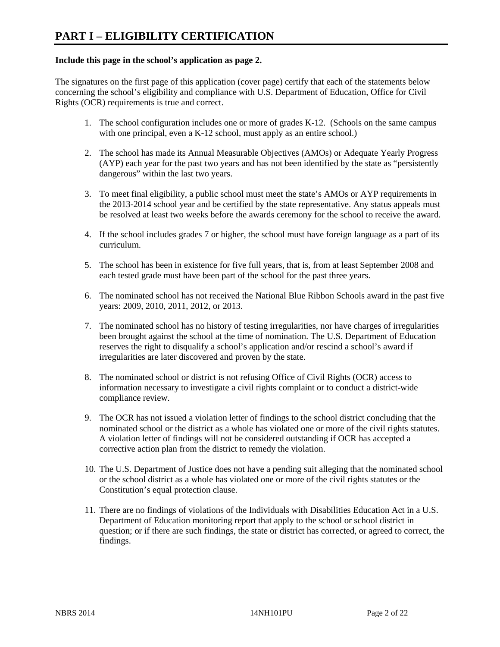#### **Include this page in the school's application as page 2.**

The signatures on the first page of this application (cover page) certify that each of the statements below concerning the school's eligibility and compliance with U.S. Department of Education, Office for Civil Rights (OCR) requirements is true and correct.

- 1. The school configuration includes one or more of grades K-12. (Schools on the same campus with one principal, even a K-12 school, must apply as an entire school.)
- 2. The school has made its Annual Measurable Objectives (AMOs) or Adequate Yearly Progress (AYP) each year for the past two years and has not been identified by the state as "persistently dangerous" within the last two years.
- 3. To meet final eligibility, a public school must meet the state's AMOs or AYP requirements in the 2013-2014 school year and be certified by the state representative. Any status appeals must be resolved at least two weeks before the awards ceremony for the school to receive the award.
- 4. If the school includes grades 7 or higher, the school must have foreign language as a part of its curriculum.
- 5. The school has been in existence for five full years, that is, from at least September 2008 and each tested grade must have been part of the school for the past three years.
- 6. The nominated school has not received the National Blue Ribbon Schools award in the past five years: 2009, 2010, 2011, 2012, or 2013.
- 7. The nominated school has no history of testing irregularities, nor have charges of irregularities been brought against the school at the time of nomination. The U.S. Department of Education reserves the right to disqualify a school's application and/or rescind a school's award if irregularities are later discovered and proven by the state.
- 8. The nominated school or district is not refusing Office of Civil Rights (OCR) access to information necessary to investigate a civil rights complaint or to conduct a district-wide compliance review.
- 9. The OCR has not issued a violation letter of findings to the school district concluding that the nominated school or the district as a whole has violated one or more of the civil rights statutes. A violation letter of findings will not be considered outstanding if OCR has accepted a corrective action plan from the district to remedy the violation.
- 10. The U.S. Department of Justice does not have a pending suit alleging that the nominated school or the school district as a whole has violated one or more of the civil rights statutes or the Constitution's equal protection clause.
- 11. There are no findings of violations of the Individuals with Disabilities Education Act in a U.S. Department of Education monitoring report that apply to the school or school district in question; or if there are such findings, the state or district has corrected, or agreed to correct, the findings.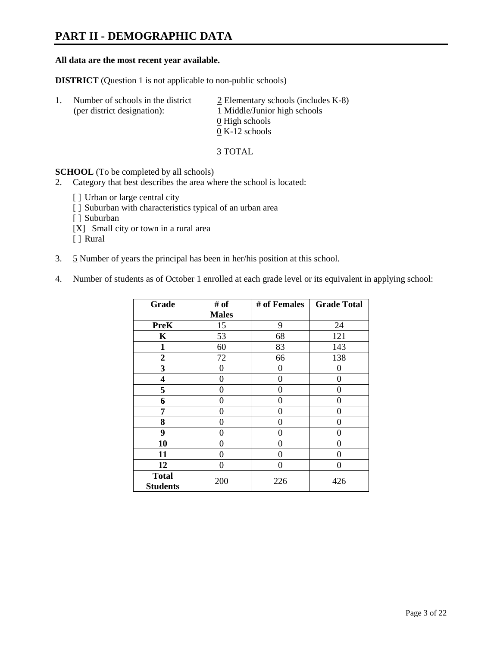# **PART II - DEMOGRAPHIC DATA**

#### **All data are the most recent year available.**

**DISTRICT** (Question 1 is not applicable to non-public schools)

| -1. | Number of schools in the district<br>(per district designation): | $\angle$ Elementary schools (includes K-8)<br>1 Middle/Junior high schools<br>0 High schools |
|-----|------------------------------------------------------------------|----------------------------------------------------------------------------------------------|
|     |                                                                  | $0 K-12$ schools                                                                             |

3 TOTAL

**SCHOOL** (To be completed by all schools)

- 2. Category that best describes the area where the school is located:
	- [] Urban or large central city
	- [ ] Suburban with characteristics typical of an urban area
	- [ ] Suburban
	- [X] Small city or town in a rural area
	- [ ] Rural
- 3. 5 Number of years the principal has been in her/his position at this school.
- 4. Number of students as of October 1 enrolled at each grade level or its equivalent in applying school:

| Grade                           | # of         | # of Females | <b>Grade Total</b> |
|---------------------------------|--------------|--------------|--------------------|
|                                 | <b>Males</b> |              |                    |
| <b>PreK</b>                     | 15           | 9            | 24                 |
| K                               | 53           | 68           | 121                |
| $\mathbf{1}$                    | 60           | 83           | 143                |
| $\boldsymbol{2}$                | 72           | 66           | 138                |
| 3                               | 0            | 0            | 0                  |
| 4                               | 0            | $\theta$     | 0                  |
| 5                               | 0            | 0            | 0                  |
| 6                               | 0            | 0            | 0                  |
| 7                               | 0            | 0            | 0                  |
| 8                               | 0            | 0            | 0                  |
| 9                               | 0            | 0            | 0                  |
| 10                              | 0            | 0            | 0                  |
| 11                              | 0            | 0            | 0                  |
| 12                              | 0            | 0            | 0                  |
| <b>Total</b><br><b>Students</b> | 200          | 226          | 426                |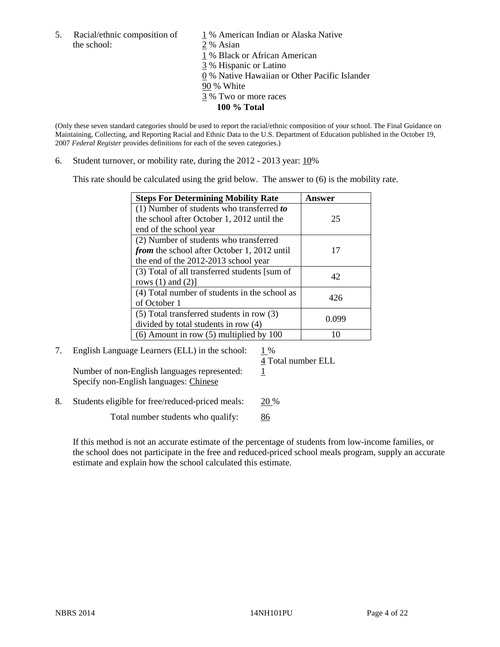- the school: 2 % Asian
- 5. Racial/ethnic composition of  $1\%$  American Indian or Alaska Native
	-
	- 1 % Black or African American
	- 3 % Hispanic or Latino
	- 0 % Native Hawaiian or Other Pacific Islander
	- 90 % White
	- 3 % Two or more races
		- **100 % Total**

(Only these seven standard categories should be used to report the racial/ethnic composition of your school. The Final Guidance on Maintaining, Collecting, and Reporting Racial and Ethnic Data to the U.S. Department of Education published in the October 19, 2007 *Federal Register* provides definitions for each of the seven categories.)

6. Student turnover, or mobility rate, during the 2012 - 2013 year: 10%

This rate should be calculated using the grid below. The answer to (6) is the mobility rate.

| <b>Steps For Determining Mobility Rate</b>         | <b>Answer</b> |
|----------------------------------------------------|---------------|
| (1) Number of students who transferred to          |               |
| the school after October 1, 2012 until the         | 25            |
| end of the school year                             |               |
| (2) Number of students who transferred             |               |
| <i>from</i> the school after October 1, 2012 until | 17            |
| the end of the 2012-2013 school year               |               |
| (3) Total of all transferred students [sum of      | 42            |
| rows $(1)$ and $(2)$ ]                             |               |
| (4) Total number of students in the school as      | 426           |
| of October 1                                       |               |
| $(5)$ Total transferred students in row $(3)$      | 0.099         |
| divided by total students in row (4)               |               |
| $(6)$ Amount in row $(5)$ multiplied by 100        | 10            |

7. English Language Learners (ELL) in the school:  $1\%$ 

4 Total number ELL

Number of non-English languages represented:  $1$ Specify non-English languages: Chinese

8. Students eligible for free/reduced-priced meals: 20 %

Total number students who qualify: 86

If this method is not an accurate estimate of the percentage of students from low-income families, or the school does not participate in the free and reduced-priced school meals program, supply an accurate estimate and explain how the school calculated this estimate.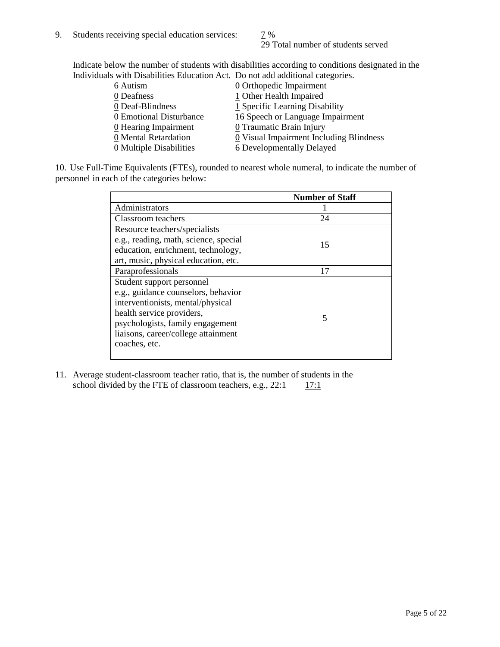29 Total number of students served

Indicate below the number of students with disabilities according to conditions designated in the Individuals with Disabilities Education Act. Do not add additional categories.

| 6 Autism                | $\underline{0}$ Orthopedic Impairment   |
|-------------------------|-----------------------------------------|
| 0 Deafness              | 1 Other Health Impaired                 |
| 0 Deaf-Blindness        | 1 Specific Learning Disability          |
| 0 Emotional Disturbance | 16 Speech or Language Impairment        |
| 0 Hearing Impairment    | 0 Traumatic Brain Injury                |
| 0 Mental Retardation    | 0 Visual Impairment Including Blindness |
| 0 Multiple Disabilities | 6 Developmentally Delayed               |
|                         |                                         |

10. Use Full-Time Equivalents (FTEs), rounded to nearest whole numeral, to indicate the number of personnel in each of the categories below:

|                                       | <b>Number of Staff</b> |
|---------------------------------------|------------------------|
| Administrators                        |                        |
| Classroom teachers                    | 24                     |
| Resource teachers/specialists         |                        |
| e.g., reading, math, science, special | 15                     |
| education, enrichment, technology,    |                        |
| art, music, physical education, etc.  |                        |
| Paraprofessionals                     | 17                     |
| Student support personnel             |                        |
| e.g., guidance counselors, behavior   |                        |
| interventionists, mental/physical     |                        |
| health service providers,             | 5                      |
| psychologists, family engagement      |                        |
| liaisons, career/college attainment   |                        |
| coaches, etc.                         |                        |
|                                       |                        |

11. Average student-classroom teacher ratio, that is, the number of students in the school divided by the FTE of classroom teachers, e.g.,  $22:1$  17:1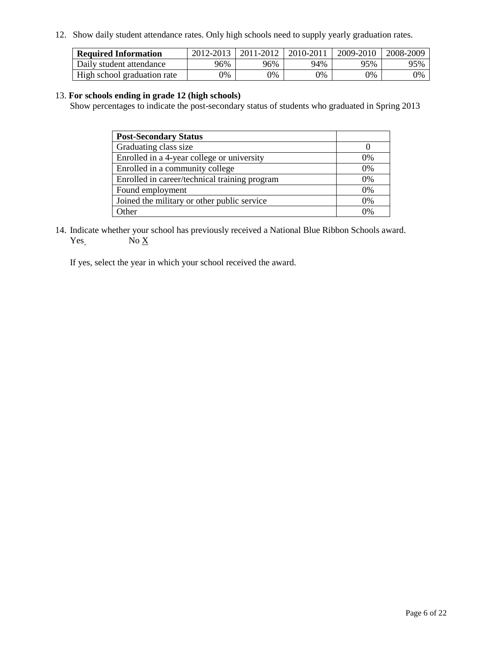12. Show daily student attendance rates. Only high schools need to supply yearly graduation rates.

| <b>Required Information</b> | 2012-2013     | 2011-2012  | 2010-2011 | 2009-2010 | 2008-2009 |
|-----------------------------|---------------|------------|-----------|-----------|-----------|
| Daily student attendance    | 96%           | 96%        | 94%       | 95%       | 95%       |
| High school graduation rate | $\frac{1}{2}$ | $\gamma\%$ | 0%        | 0%        | 0%        |

#### 13. **For schools ending in grade 12 (high schools)**

Show percentages to indicate the post-secondary status of students who graduated in Spring 2013

| <b>Post-Secondary Status</b>                  |       |
|-----------------------------------------------|-------|
| Graduating class size                         |       |
| Enrolled in a 4-year college or university    | $0\%$ |
| Enrolled in a community college               | 0%    |
| Enrolled in career/technical training program | 0%    |
| Found employment                              | 0%    |
| Joined the military or other public service   | $0\%$ |
| )ther                                         | 0%    |

14. Indicate whether your school has previously received a National Blue Ribbon Schools award.  $Yes$  No  $X$ 

If yes, select the year in which your school received the award.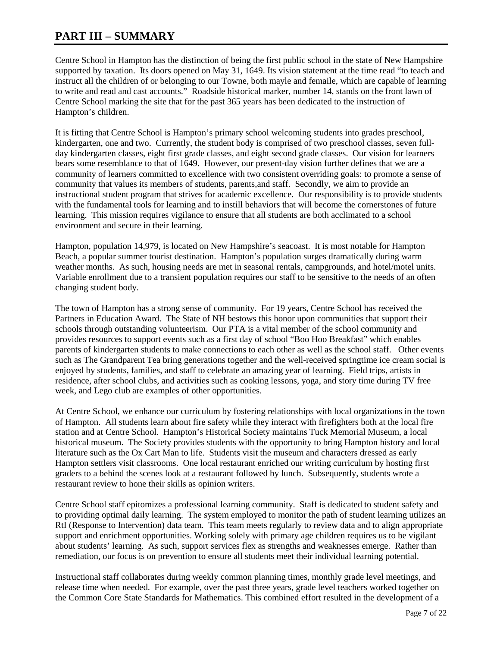# **PART III – SUMMARY**

Centre School in Hampton has the distinction of being the first public school in the state of New Hampshire supported by taxation. Its doors opened on May 31, 1649. Its vision statement at the time read "to teach and instruct all the children of or belonging to our Towne, both mayle and femaile, which are capable of learning to write and read and cast accounts." Roadside historical marker, number 14, stands on the front lawn of Centre School marking the site that for the past 365 years has been dedicated to the instruction of Hampton's children.

It is fitting that Centre School is Hampton's primary school welcoming students into grades preschool, kindergarten, one and two. Currently, the student body is comprised of two preschool classes, seven fullday kindergarten classes, eight first grade classes, and eight second grade classes. Our vision for learners bears some resemblance to that of 1649. However, our present-day vision further defines that we are a community of learners committed to excellence with two consistent overriding goals: to promote a sense of community that values its members of students, parents,and staff. Secondly, we aim to provide an instructional student program that strives for academic excellence. Our responsibility is to provide students with the fundamental tools for learning and to instill behaviors that will become the cornerstones of future learning. This mission requires vigilance to ensure that all students are both acclimated to a school environment and secure in their learning.

Hampton, population 14,979, is located on New Hampshire's seacoast. It is most notable for Hampton Beach, a popular summer tourist destination. Hampton's population surges dramatically during warm weather months. As such, housing needs are met in seasonal rentals, campgrounds, and hotel/motel units. Variable enrollment due to a transient population requires our staff to be sensitive to the needs of an often changing student body.

The town of Hampton has a strong sense of community. For 19 years, Centre School has received the Partners in Education Award. The State of NH bestows this honor upon communities that support their schools through outstanding volunteerism. Our PTA is a vital member of the school community and provides resources to support events such as a first day of school "Boo Hoo Breakfast" which enables parents of kindergarten students to make connections to each other as well as the school staff. Other events such as The Grandparent Tea bring generations together and the well-received springtime ice cream social is enjoyed by students, families, and staff to celebrate an amazing year of learning. Field trips, artists in residence, after school clubs, and activities such as cooking lessons, yoga, and story time during TV free week, and Lego club are examples of other opportunities.

At Centre School, we enhance our curriculum by fostering relationships with local organizations in the town of Hampton. All students learn about fire safety while they interact with firefighters both at the local fire station and at Centre School. Hampton's Historical Society maintains Tuck Memorial Museum, a local historical museum. The Society provides students with the opportunity to bring Hampton history and local literature such as the Ox Cart Man to life. Students visit the museum and characters dressed as early Hampton settlers visit classrooms. One local restaurant enriched our writing curriculum by hosting first graders to a behind the scenes look at a restaurant followed by lunch. Subsequently, students wrote a restaurant review to hone their skills as opinion writers.

Centre School staff epitomizes a professional learning community. Staff is dedicated to student safety and to providing optimal daily learning. The system employed to monitor the path of student learning utilizes an RtI (Response to Intervention) data team. This team meets regularly to review data and to align appropriate support and enrichment opportunities. Working solely with primary age children requires us to be vigilant about students' learning. As such, support services flex as strengths and weaknesses emerge. Rather than remediation, our focus is on prevention to ensure all students meet their individual learning potential.

Instructional staff collaborates during weekly common planning times, monthly grade level meetings, and release time when needed. For example, over the past three years, grade level teachers worked together on the Common Core State Standards for Mathematics. This combined effort resulted in the development of a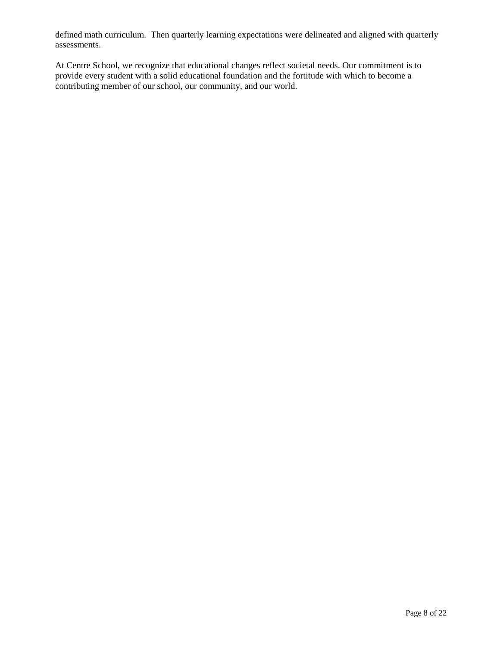defined math curriculum. Then quarterly learning expectations were delineated and aligned with quarterly assessments.

At Centre School, we recognize that educational changes reflect societal needs. Our commitment is to provide every student with a solid educational foundation and the fortitude with which to become a contributing member of our school, our community, and our world.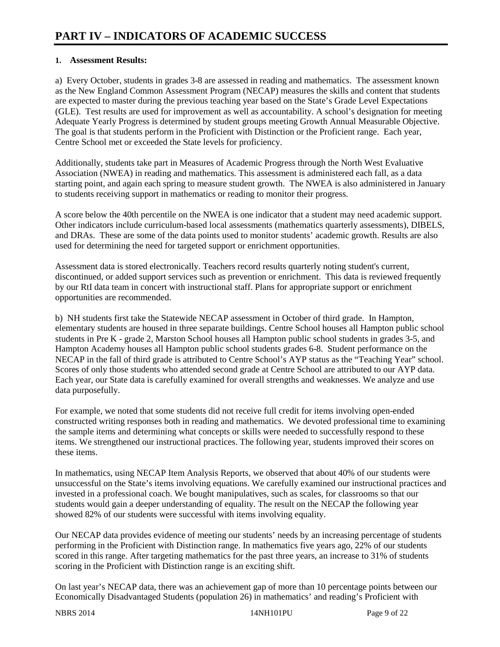#### **1. Assessment Results:**

a) Every October, students in grades 3-8 are assessed in reading and mathematics. The assessment known as the New England Common Assessment Program (NECAP) measures the skills and content that students are expected to master during the previous teaching year based on the State's Grade Level Expectations (GLE). Test results are used for improvement as well as accountability. A school's designation for meeting Adequate Yearly Progress is determined by student groups meeting Growth Annual Measurable Objective. The goal is that students perform in the Proficient with Distinction or the Proficient range. Each year, Centre School met or exceeded the State levels for proficiency.

Additionally, students take part in Measures of Academic Progress through the North West Evaluative Association (NWEA) in reading and mathematics. This assessment is administered each fall, as a data starting point, and again each spring to measure student growth. The NWEA is also administered in January to students receiving support in mathematics or reading to monitor their progress.

A score below the 40th percentile on the NWEA is one indicator that a student may need academic support. Other indicators include curriculum-based local assessments (mathematics quarterly assessments), DIBELS, and DRAs. These are some of the data points used to monitor students' academic growth. Results are also used for determining the need for targeted support or enrichment opportunities.

Assessment data is stored electronically. Teachers record results quarterly noting student's current, discontinued, or added support services such as prevention or enrichment. This data is reviewed frequently by our RtI data team in concert with instructional staff. Plans for appropriate support or enrichment opportunities are recommended.

b) NH students first take the Statewide NECAP assessment in October of third grade. In Hampton, elementary students are housed in three separate buildings. Centre School houses all Hampton public school students in Pre K - grade 2, Marston School houses all Hampton public school students in grades 3-5, and Hampton Academy houses all Hampton public school students grades 6-8. Student performance on the NECAP in the fall of third grade is attributed to Centre School's AYP status as the "Teaching Year" school. Scores of only those students who attended second grade at Centre School are attributed to our AYP data. Each year, our State data is carefully examined for overall strengths and weaknesses. We analyze and use data purposefully.

For example, we noted that some students did not receive full credit for items involving open-ended constructed writing responses both in reading and mathematics. We devoted professional time to examining the sample items and determining what concepts or skills were needed to successfully respond to these items. We strengthened our instructional practices. The following year, students improved their scores on these items.

In mathematics, using NECAP Item Analysis Reports, we observed that about 40% of our students were unsuccessful on the State's items involving equations. We carefully examined our instructional practices and invested in a professional coach. We bought manipulatives, such as scales, for classrooms so that our students would gain a deeper understanding of equality. The result on the NECAP the following year showed 82% of our students were successful with items involving equality.

Our NECAP data provides evidence of meeting our students' needs by an increasing percentage of students performing in the Proficient with Distinction range. In mathematics five years ago, 22% of our students scored in this range. After targeting mathematics for the past three years, an increase to 31% of students scoring in the Proficient with Distinction range is an exciting shift.

On last year's NECAP data, there was an achievement gap of more than 10 percentage points between our Economically Disadvantaged Students (population 26) in mathematics' and reading's Proficient with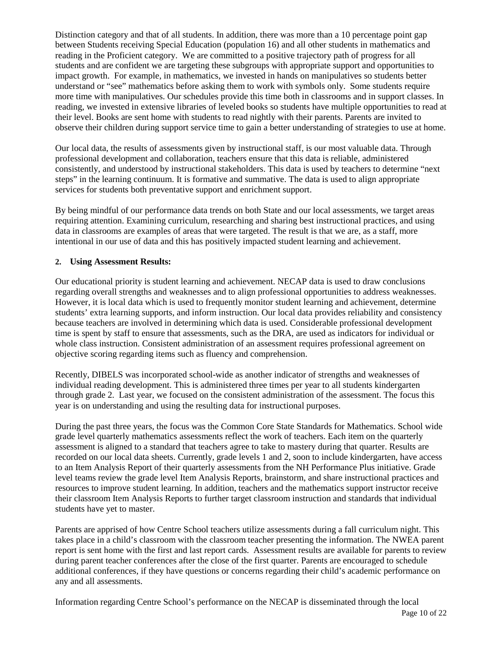Distinction category and that of all students. In addition, there was more than a 10 percentage point gap between Students receiving Special Education (population 16) and all other students in mathematics and reading in the Proficient category. We are committed to a positive trajectory path of progress for all students and are confident we are targeting these subgroups with appropriate support and opportunities to impact growth. For example, in mathematics, we invested in hands on manipulatives so students better understand or "see" mathematics before asking them to work with symbols only. Some students require more time with manipulatives. Our schedules provide this time both in classrooms and in support classes. In reading, we invested in extensive libraries of leveled books so students have multiple opportunities to read at their level. Books are sent home with students to read nightly with their parents. Parents are invited to observe their children during support service time to gain a better understanding of strategies to use at home.

Our local data, the results of assessments given by instructional staff, is our most valuable data. Through professional development and collaboration, teachers ensure that this data is reliable, administered consistently, and understood by instructional stakeholders. This data is used by teachers to determine "next steps" in the learning continuum. It is formative and summative. The data is used to align appropriate services for students both preventative support and enrichment support.

By being mindful of our performance data trends on both State and our local assessments, we target areas requiring attention. Examining curriculum, researching and sharing best instructional practices, and using data in classrooms are examples of areas that were targeted. The result is that we are, as a staff, more intentional in our use of data and this has positively impacted student learning and achievement.

#### **2. Using Assessment Results:**

Our educational priority is student learning and achievement. NECAP data is used to draw conclusions regarding overall strengths and weaknesses and to align professional opportunities to address weaknesses. However, it is local data which is used to frequently monitor student learning and achievement, determine students' extra learning supports, and inform instruction. Our local data provides reliability and consistency because teachers are involved in determining which data is used. Considerable professional development time is spent by staff to ensure that assessments, such as the DRA, are used as indicators for individual or whole class instruction. Consistent administration of an assessment requires professional agreement on objective scoring regarding items such as fluency and comprehension.

Recently, DIBELS was incorporated school-wide as another indicator of strengths and weaknesses of individual reading development. This is administered three times per year to all students kindergarten through grade 2. Last year, we focused on the consistent administration of the assessment. The focus this year is on understanding and using the resulting data for instructional purposes.

During the past three years, the focus was the Common Core State Standards for Mathematics. School wide grade level quarterly mathematics assessments reflect the work of teachers. Each item on the quarterly assessment is aligned to a standard that teachers agree to take to mastery during that quarter. Results are recorded on our local data sheets. Currently, grade levels 1 and 2, soon to include kindergarten, have access to an Item Analysis Report of their quarterly assessments from the NH Performance Plus initiative. Grade level teams review the grade level Item Analysis Reports, brainstorm, and share instructional practices and resources to improve student learning. In addition, teachers and the mathematics support instructor receive their classroom Item Analysis Reports to further target classroom instruction and standards that individual students have yet to master.

Parents are apprised of how Centre School teachers utilize assessments during a fall curriculum night. This takes place in a child's classroom with the classroom teacher presenting the information. The NWEA parent report is sent home with the first and last report cards. Assessment results are available for parents to review during parent teacher conferences after the close of the first quarter. Parents are encouraged to schedule additional conferences, if they have questions or concerns regarding their child's academic performance on any and all assessments.

Information regarding Centre School's performance on the NECAP is disseminated through the local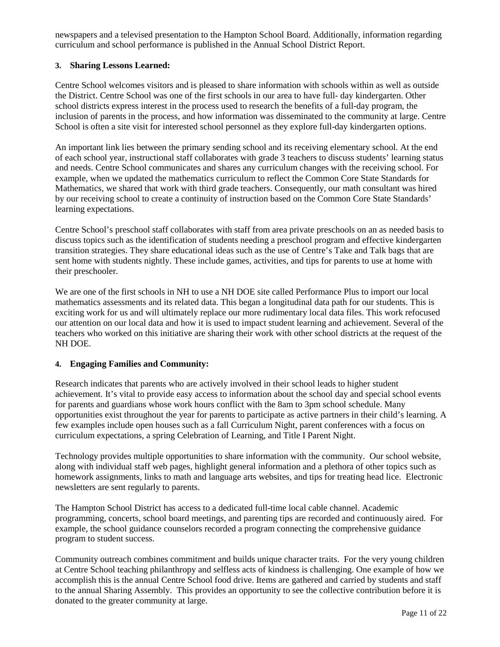newspapers and a televised presentation to the Hampton School Board. Additionally, information regarding curriculum and school performance is published in the Annual School District Report.

## **3. Sharing Lessons Learned:**

Centre School welcomes visitors and is pleased to share information with schools within as well as outside the District. Centre School was one of the first schools in our area to have full- day kindergarten. Other school districts express interest in the process used to research the benefits of a full-day program, the inclusion of parents in the process, and how information was disseminated to the community at large. Centre School is often a site visit for interested school personnel as they explore full-day kindergarten options.

An important link lies between the primary sending school and its receiving elementary school. At the end of each school year, instructional staff collaborates with grade 3 teachers to discuss students' learning status and needs. Centre School communicates and shares any curriculum changes with the receiving school. For example, when we updated the mathematics curriculum to reflect the Common Core State Standards for Mathematics, we shared that work with third grade teachers. Consequently, our math consultant was hired by our receiving school to create a continuity of instruction based on the Common Core State Standards' learning expectations.

Centre School's preschool staff collaborates with staff from area private preschools on an as needed basis to discuss topics such as the identification of students needing a preschool program and effective kindergarten transition strategies. They share educational ideas such as the use of Centre's Take and Talk bags that are sent home with students nightly. These include games, activities, and tips for parents to use at home with their preschooler.

We are one of the first schools in NH to use a NH DOE site called Performance Plus to import our local mathematics assessments and its related data. This began a longitudinal data path for our students. This is exciting work for us and will ultimately replace our more rudimentary local data files. This work refocused our attention on our local data and how it is used to impact student learning and achievement. Several of the teachers who worked on this initiative are sharing their work with other school districts at the request of the NH DOE.

#### **4. Engaging Families and Community:**

Research indicates that parents who are actively involved in their school leads to higher student achievement. It's vital to provide easy access to information about the school day and special school events for parents and guardians whose work hours conflict with the 8am to 3pm school schedule. Many opportunities exist throughout the year for parents to participate as active partners in their child's learning. A few examples include open houses such as a fall Curriculum Night, parent conferences with a focus on curriculum expectations, a spring Celebration of Learning, and Title I Parent Night.

Technology provides multiple opportunities to share information with the community. Our school website, along with individual staff web pages, highlight general information and a plethora of other topics such as homework assignments, links to math and language arts websites, and tips for treating head lice. Electronic newsletters are sent regularly to parents.

The Hampton School District has access to a dedicated full-time local cable channel. Academic programming, concerts, school board meetings, and parenting tips are recorded and continuously aired. For example, the school guidance counselors recorded a program connecting the comprehensive guidance program to student success.

Community outreach combines commitment and builds unique character traits. For the very young children at Centre School teaching philanthropy and selfless acts of kindness is challenging. One example of how we accomplish this is the annual Centre School food drive. Items are gathered and carried by students and staff to the annual Sharing Assembly. This provides an opportunity to see the collective contribution before it is donated to the greater community at large.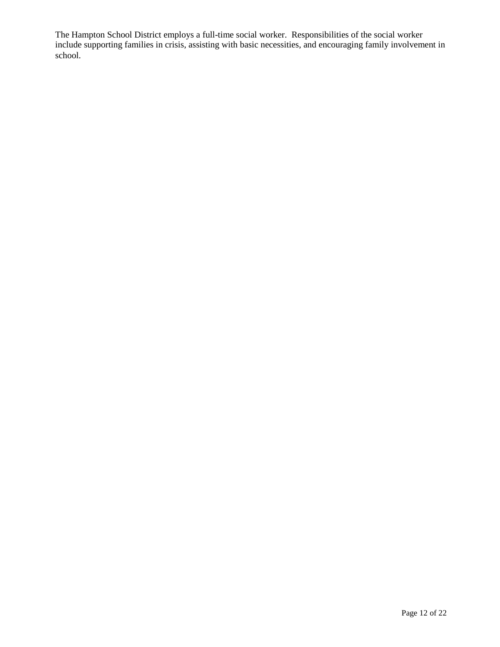The Hampton School District employs a full-time social worker. Responsibilities of the social worker include supporting families in crisis, assisting with basic necessities, and encouraging family involvement in school.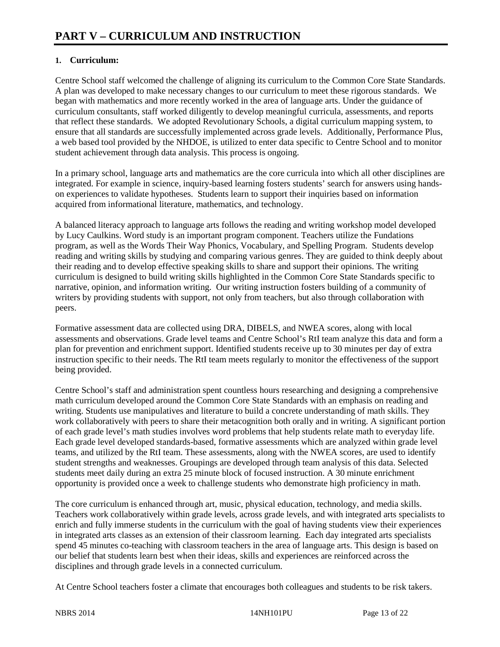## **1. Curriculum:**

Centre School staff welcomed the challenge of aligning its curriculum to the Common Core State Standards. A plan was developed to make necessary changes to our curriculum to meet these rigorous standards. We began with mathematics and more recently worked in the area of language arts. Under the guidance of curriculum consultants, staff worked diligently to develop meaningful curricula, assessments, and reports that reflect these standards. We adopted Revolutionary Schools, a digital curriculum mapping system, to ensure that all standards are successfully implemented across grade levels. Additionally, Performance Plus, a web based tool provided by the NHDOE, is utilized to enter data specific to Centre School and to monitor student achievement through data analysis. This process is ongoing.

In a primary school, language arts and mathematics are the core curricula into which all other disciplines are integrated. For example in science, inquiry-based learning fosters students' search for answers using handson experiences to validate hypotheses. Students learn to support their inquiries based on information acquired from informational literature, mathematics, and technology.

A balanced literacy approach to language arts follows the reading and writing workshop model developed by Lucy Caulkins. Word study is an important program component. Teachers utilize the Fundations program, as well as the Words Their Way Phonics, Vocabulary, and Spelling Program. Students develop reading and writing skills by studying and comparing various genres. They are guided to think deeply about their reading and to develop effective speaking skills to share and support their opinions. The writing curriculum is designed to build writing skills highlighted in the Common Core State Standards specific to narrative, opinion, and information writing. Our writing instruction fosters building of a community of writers by providing students with support, not only from teachers, but also through collaboration with peers.

Formative assessment data are collected using DRA, DIBELS, and NWEA scores, along with local assessments and observations. Grade level teams and Centre School's RtI team analyze this data and form a plan for prevention and enrichment support. Identified students receive up to 30 minutes per day of extra instruction specific to their needs. The RtI team meets regularly to monitor the effectiveness of the support being provided.

Centre School's staff and administration spent countless hours researching and designing a comprehensive math curriculum developed around the Common Core State Standards with an emphasis on reading and writing. Students use manipulatives and literature to build a concrete understanding of math skills. They work collaboratively with peers to share their metacognition both orally and in writing. A significant portion of each grade level's math studies involves word problems that help students relate math to everyday life. Each grade level developed standards-based, formative assessments which are analyzed within grade level teams, and utilized by the RtI team. These assessments, along with the NWEA scores, are used to identify student strengths and weaknesses. Groupings are developed through team analysis of this data. Selected students meet daily during an extra 25 minute block of focused instruction. A 30 minute enrichment opportunity is provided once a week to challenge students who demonstrate high proficiency in math.

The core curriculum is enhanced through art, music, physical education, technology, and media skills. Teachers work collaboratively within grade levels, across grade levels, and with integrated arts specialists to enrich and fully immerse students in the curriculum with the goal of having students view their experiences in integrated arts classes as an extension of their classroom learning. Each day integrated arts specialists spend 45 minutes co-teaching with classroom teachers in the area of language arts. This design is based on our belief that students learn best when their ideas, skills and experiences are reinforced across the disciplines and through grade levels in a connected curriculum.

At Centre School teachers foster a climate that encourages both colleagues and students to be risk takers.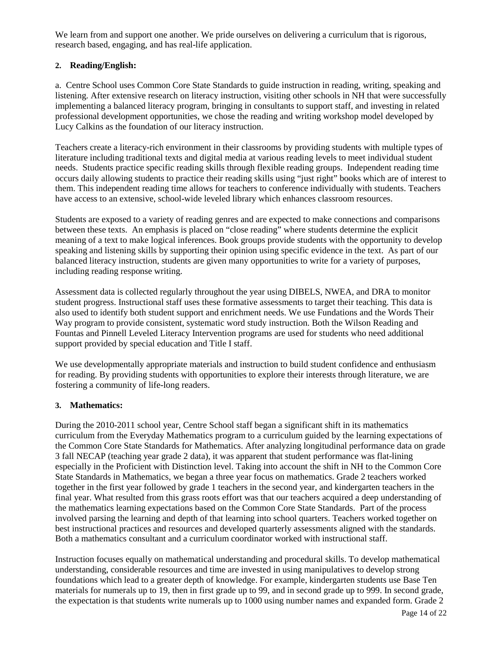We learn from and support one another. We pride ourselves on delivering a curriculum that is rigorous, research based, engaging, and has real-life application.

## **2. Reading/English:**

a. Centre School uses Common Core State Standards to guide instruction in reading, writing, speaking and listening. After extensive research on literacy instruction, visiting other schools in NH that were successfully implementing a balanced literacy program, bringing in consultants to support staff, and investing in related professional development opportunities, we chose the reading and writing workshop model developed by Lucy Calkins as the foundation of our literacy instruction.

Teachers create a literacy-rich environment in their classrooms by providing students with multiple types of literature including traditional texts and digital media at various reading levels to meet individual student needs. Students practice specific reading skills through flexible reading groups. Independent reading time occurs daily allowing students to practice their reading skills using "just right" books which are of interest to them. This independent reading time allows for teachers to conference individually with students. Teachers have access to an extensive, school-wide leveled library which enhances classroom resources.

Students are exposed to a variety of reading genres and are expected to make connections and comparisons between these texts. An emphasis is placed on "close reading" where students determine the explicit meaning of a text to make logical inferences. Book groups provide students with the opportunity to develop speaking and listening skills by supporting their opinion using specific evidence in the text. As part of our balanced literacy instruction, students are given many opportunities to write for a variety of purposes, including reading response writing.

Assessment data is collected regularly throughout the year using DIBELS, NWEA, and DRA to monitor student progress. Instructional staff uses these formative assessments to target their teaching. This data is also used to identify both student support and enrichment needs. We use Fundations and the Words Their Way program to provide consistent, systematic word study instruction. Both the Wilson Reading and Fountas and Pinnell Leveled Literacy Intervention programs are used for students who need additional support provided by special education and Title I staff.

We use developmentally appropriate materials and instruction to build student confidence and enthusiasm for reading. By providing students with opportunities to explore their interests through literature, we are fostering a community of life-long readers.

#### **3. Mathematics:**

During the 2010-2011 school year, Centre School staff began a significant shift in its mathematics curriculum from the Everyday Mathematics program to a curriculum guided by the learning expectations of the Common Core State Standards for Mathematics. After analyzing longitudinal performance data on grade 3 fall NECAP (teaching year grade 2 data), it was apparent that student performance was flat-lining especially in the Proficient with Distinction level. Taking into account the shift in NH to the Common Core State Standards in Mathematics, we began a three year focus on mathematics. Grade 2 teachers worked together in the first year followed by grade 1 teachers in the second year, and kindergarten teachers in the final year. What resulted from this grass roots effort was that our teachers acquired a deep understanding of the mathematics learning expectations based on the Common Core State Standards. Part of the process involved parsing the learning and depth of that learning into school quarters. Teachers worked together on best instructional practices and resources and developed quarterly assessments aligned with the standards. Both a mathematics consultant and a curriculum coordinator worked with instructional staff.

Instruction focuses equally on mathematical understanding and procedural skills. To develop mathematical understanding, considerable resources and time are invested in using manipulatives to develop strong foundations which lead to a greater depth of knowledge. For example, kindergarten students use Base Ten materials for numerals up to 19, then in first grade up to 99, and in second grade up to 999. In second grade, the expectation is that students write numerals up to 1000 using number names and expanded form. Grade 2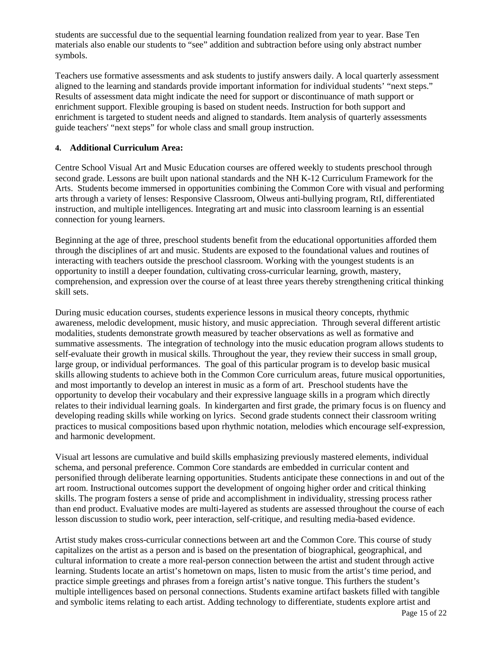students are successful due to the sequential learning foundation realized from year to year. Base Ten materials also enable our students to "see" addition and subtraction before using only abstract number symbols.

Teachers use formative assessments and ask students to justify answers daily. A local quarterly assessment aligned to the learning and standards provide important information for individual students' "next steps." Results of assessment data might indicate the need for support or discontinuance of math support or enrichment support. Flexible grouping is based on student needs. Instruction for both support and enrichment is targeted to student needs and aligned to standards. Item analysis of quarterly assessments guide teachers' "next steps" for whole class and small group instruction.

#### **4. Additional Curriculum Area:**

Centre School Visual Art and Music Education courses are offered weekly to students preschool through second grade. Lessons are built upon national standards and the NH K-12 Curriculum Framework for the Arts. Students become immersed in opportunities combining the Common Core with visual and performing arts through a variety of lenses: Responsive Classroom, Olweus anti-bullying program, RtI, differentiated instruction, and multiple intelligences. Integrating art and music into classroom learning is an essential connection for young learners.

Beginning at the age of three, preschool students benefit from the educational opportunities afforded them through the disciplines of art and music. Students are exposed to the foundational values and routines of interacting with teachers outside the preschool classroom. Working with the youngest students is an opportunity to instill a deeper foundation, cultivating cross-curricular learning, growth, mastery, comprehension, and expression over the course of at least three years thereby strengthening critical thinking skill sets.

During music education courses, students experience lessons in musical theory concepts, rhythmic awareness, melodic development, music history, and music appreciation. Through several different artistic modalities, students demonstrate growth measured by teacher observations as well as formative and summative assessments. The integration of technology into the music education program allows students to self-evaluate their growth in musical skills. Throughout the year, they review their success in small group, large group, or individual performances. The goal of this particular program is to develop basic musical skills allowing students to achieve both in the Common Core curriculum areas, future musical opportunities, and most importantly to develop an interest in music as a form of art. Preschool students have the opportunity to develop their vocabulary and their expressive language skills in a program which directly relates to their individual learning goals. In kindergarten and first grade, the primary focus is on fluency and developing reading skills while working on lyrics. Second grade students connect their classroom writing practices to musical compositions based upon rhythmic notation, melodies which encourage self-expression, and harmonic development.

Visual art lessons are cumulative and build skills emphasizing previously mastered elements, individual schema, and personal preference. Common Core standards are embedded in curricular content and personified through deliberate learning opportunities. Students anticipate these connections in and out of the art room. Instructional outcomes support the development of ongoing higher order and critical thinking skills. The program fosters a sense of pride and accomplishment in individuality, stressing process rather than end product. Evaluative modes are multi-layered as students are assessed throughout the course of each lesson discussion to studio work, peer interaction, self-critique, and resulting media-based evidence.

Artist study makes cross-curricular connections between art and the Common Core. This course of study capitalizes on the artist as a person and is based on the presentation of biographical, geographical, and cultural information to create a more real-person connection between the artist and student through active learning. Students locate an artist's hometown on maps, listen to music from the artist's time period, and practice simple greetings and phrases from a foreign artist's native tongue. This furthers the student's multiple intelligences based on personal connections. Students examine artifact baskets filled with tangible and symbolic items relating to each artist. Adding technology to differentiate, students explore artist and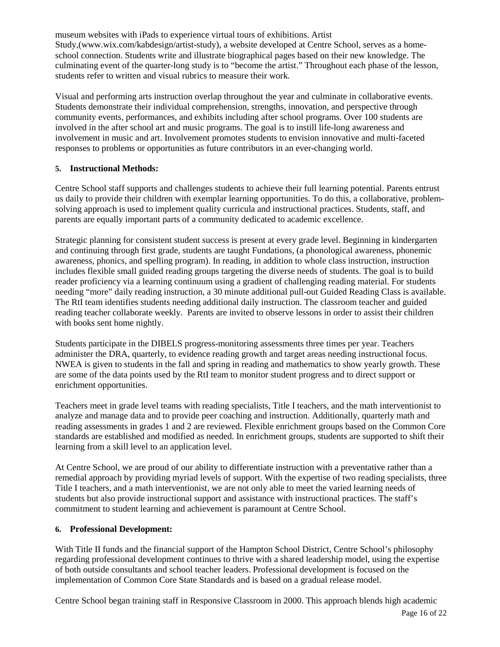museum websites with iPads to experience virtual tours of exhibitions. Artist Study,(www.wix.com/kabdesign/artist-study), a website developed at Centre School, serves as a homeschool connection. Students write and illustrate biographical pages based on their new knowledge. The culminating event of the quarter-long study is to "become the artist." Throughout each phase of the lesson, students refer to written and visual rubrics to measure their work.

Visual and performing arts instruction overlap throughout the year and culminate in collaborative events. Students demonstrate their individual comprehension, strengths, innovation, and perspective through community events, performances, and exhibits including after school programs. Over 100 students are involved in the after school art and music programs. The goal is to instill life-long awareness and involvement in music and art. Involvement promotes students to envision innovative and multi-faceted responses to problems or opportunities as future contributors in an ever-changing world.

#### **5. Instructional Methods:**

Centre School staff supports and challenges students to achieve their full learning potential. Parents entrust us daily to provide their children with exemplar learning opportunities. To do this, a collaborative, problemsolving approach is used to implement quality curricula and instructional practices. Students, staff, and parents are equally important parts of a community dedicated to academic excellence.

Strategic planning for consistent student success is present at every grade level. Beginning in kindergarten and continuing through first grade, students are taught Fundations, (a phonological awareness, phonemic awareness, phonics, and spelling program). In reading, in addition to whole class instruction, instruction includes flexible small guided reading groups targeting the diverse needs of students. The goal is to build reader proficiency via a learning continuum using a gradient of challenging reading material. For students needing "more" daily reading instruction, a 30 minute additional pull-out Guided Reading Class is available. The RtI team identifies students needing additional daily instruction. The classroom teacher and guided reading teacher collaborate weekly. Parents are invited to observe lessons in order to assist their children with books sent home nightly.

Students participate in the DIBELS progress-monitoring assessments three times per year. Teachers administer the DRA, quarterly, to evidence reading growth and target areas needing instructional focus. NWEA is given to students in the fall and spring in reading and mathematics to show yearly growth. These are some of the data points used by the RtI team to monitor student progress and to direct support or enrichment opportunities.

Teachers meet in grade level teams with reading specialists, Title I teachers, and the math interventionist to analyze and manage data and to provide peer coaching and instruction. Additionally, quarterly math and reading assessments in grades 1 and 2 are reviewed. Flexible enrichment groups based on the Common Core standards are established and modified as needed. In enrichment groups, students are supported to shift their learning from a skill level to an application level.

At Centre School, we are proud of our ability to differentiate instruction with a preventative rather than a remedial approach by providing myriad levels of support. With the expertise of two reading specialists, three Title I teachers, and a math interventionist, we are not only able to meet the varied learning needs of students but also provide instructional support and assistance with instructional practices. The staff's commitment to student learning and achievement is paramount at Centre School.

#### **6. Professional Development:**

With Title II funds and the financial support of the Hampton School District, Centre School's philosophy regarding professional development continues to thrive with a shared leadership model, using the expertise of both outside consultants and school teacher leaders. Professional development is focused on the implementation of Common Core State Standards and is based on a gradual release model.

Centre School began training staff in Responsive Classroom in 2000. This approach blends high academic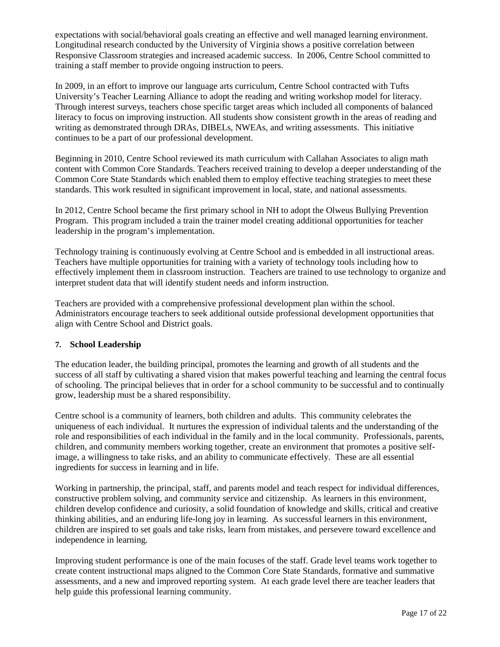expectations with social/behavioral goals creating an effective and well managed learning environment. Longitudinal research conducted by the University of Virginia shows a positive correlation between Responsive Classroom strategies and increased academic success. In 2006, Centre School committed to training a staff member to provide ongoing instruction to peers.

In 2009, in an effort to improve our language arts curriculum, Centre School contracted with Tufts University's Teacher Learning Alliance to adopt the reading and writing workshop model for literacy. Through interest surveys, teachers chose specific target areas which included all components of balanced literacy to focus on improving instruction. All students show consistent growth in the areas of reading and writing as demonstrated through DRAs, DIBELs, NWEAs, and writing assessments. This initiative continues to be a part of our professional development.

Beginning in 2010, Centre School reviewed its math curriculum with Callahan Associates to align math content with Common Core Standards. Teachers received training to develop a deeper understanding of the Common Core State Standards which enabled them to employ effective teaching strategies to meet these standards. This work resulted in significant improvement in local, state, and national assessments.

In 2012, Centre School became the first primary school in NH to adopt the Olweus Bullying Prevention Program. This program included a train the trainer model creating additional opportunities for teacher leadership in the program's implementation.

Technology training is continuously evolving at Centre School and is embedded in all instructional areas. Teachers have multiple opportunities for training with a variety of technology tools including how to effectively implement them in classroom instruction. Teachers are trained to use technology to organize and interpret student data that will identify student needs and inform instruction.

Teachers are provided with a comprehensive professional development plan within the school. Administrators encourage teachers to seek additional outside professional development opportunities that align with Centre School and District goals.

#### **7. School Leadership**

The education leader, the building principal, promotes the learning and growth of all students and the success of all staff by cultivating a shared vision that makes powerful teaching and learning the central focus of schooling. The principal believes that in order for a school community to be successful and to continually grow, leadership must be a shared responsibility.

Centre school is a community of learners, both children and adults. This community celebrates the uniqueness of each individual. It nurtures the expression of individual talents and the understanding of the role and responsibilities of each individual in the family and in the local community. Professionals, parents, children, and community members working together, create an environment that promotes a positive selfimage, a willingness to take risks, and an ability to communicate effectively. These are all essential ingredients for success in learning and in life.

Working in partnership, the principal, staff, and parents model and teach respect for individual differences, constructive problem solving, and community service and citizenship. As learners in this environment, children develop confidence and curiosity, a solid foundation of knowledge and skills, critical and creative thinking abilities, and an enduring life-long joy in learning. As successful learners in this environment, children are inspired to set goals and take risks, learn from mistakes, and persevere toward excellence and independence in learning.

Improving student performance is one of the main focuses of the staff. Grade level teams work together to create content instructional maps aligned to the Common Core State Standards, formative and summative assessments, and a new and improved reporting system. At each grade level there are teacher leaders that help guide this professional learning community.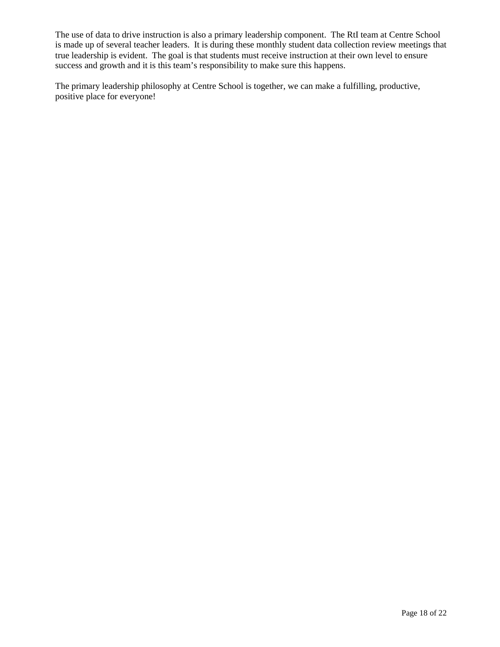The use of data to drive instruction is also a primary leadership component. The RtI team at Centre School is made up of several teacher leaders. It is during these monthly student data collection review meetings that true leadership is evident. The goal is that students must receive instruction at their own level to ensure success and growth and it is this team's responsibility to make sure this happens.

The primary leadership philosophy at Centre School is together, we can make a fulfilling, productive, positive place for everyone!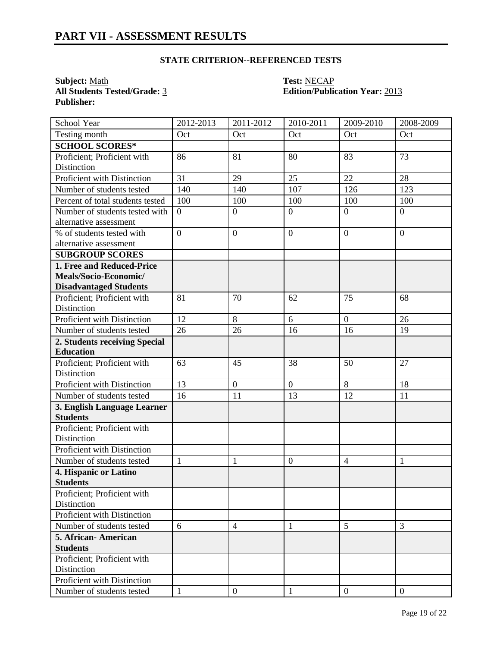## **STATE CRITERION--REFERENCED TESTS**

**Subject:** <u>Math</u> **Test:** <u>NECAP</u><br> **All Students Tested/Grade:** <u>3</u> **Contract Contract Contract Contract Contract Contract Contract Contract Contract Contract Contract Contract Contract Contract Contract Contract Contract Publisher:** 

# **Edition/Publication Year: 2013**

| School Year                                | 2012-2013      | 2011-2012        | 2010-2011      | 2009-2010        | 2008-2009      |
|--------------------------------------------|----------------|------------------|----------------|------------------|----------------|
| Testing month                              | Oct            | Oct              | Oct            | Oct              | Oct            |
| <b>SCHOOL SCORES*</b>                      |                |                  |                |                  |                |
| Proficient; Proficient with                | 86             | 81               | 80             | 83               | 73             |
| Distinction                                |                |                  |                |                  |                |
| Proficient with Distinction                | 31             | 29               | 25             | 22               | 28             |
| Number of students tested                  | 140            | 140              | 107            | 126              | 123            |
| Percent of total students tested           | 100            | 100              | 100            | 100              | 100            |
| Number of students tested with             | $\overline{0}$ | $\overline{0}$   | $\overline{0}$ | $\overline{0}$   | $\overline{0}$ |
| alternative assessment                     |                |                  |                |                  |                |
| $\frac{9}{6}$ of students tested with      | $\overline{0}$ | $\boldsymbol{0}$ | $\overline{0}$ | $\boldsymbol{0}$ | $\theta$       |
| alternative assessment                     |                |                  |                |                  |                |
| <b>SUBGROUP SCORES</b>                     |                |                  |                |                  |                |
| 1. Free and Reduced-Price                  |                |                  |                |                  |                |
| Meals/Socio-Economic/                      |                |                  |                |                  |                |
| <b>Disadvantaged Students</b>              |                |                  |                |                  |                |
| Proficient; Proficient with                | 81             | 70               | 62             | 75               | 68             |
| Distinction                                |                |                  |                |                  |                |
| Proficient with Distinction                | 12             | 8                | 6              | $\overline{0}$   | 26             |
| Number of students tested                  | 26             | 26               | 16             | 16               | 19             |
| 2. Students receiving Special              |                |                  |                |                  |                |
| <b>Education</b>                           |                |                  |                |                  |                |
| Proficient; Proficient with                | 63             | 45               | 38             | 50               | 27             |
| Distinction                                |                |                  |                |                  |                |
| Proficient with Distinction                | 13             | $\overline{0}$   | $\mathbf{0}$   | $\overline{8}$   | 18             |
| Number of students tested                  | 16             | 11               | 13             | 12               | 11             |
| 3. English Language Learner                |                |                  |                |                  |                |
| <b>Students</b>                            |                |                  |                |                  |                |
| Proficient; Proficient with                |                |                  |                |                  |                |
| Distinction<br>Proficient with Distinction |                |                  |                |                  |                |
|                                            |                |                  |                |                  |                |
| Number of students tested                  | $\mathbf{1}$   | 1                | $\mathbf{0}$   | $\overline{4}$   | 1              |
| 4. Hispanic or Latino<br><b>Students</b>   |                |                  |                |                  |                |
| Proficient; Proficient with                |                |                  |                |                  |                |
| Distinction                                |                |                  |                |                  |                |
| Proficient with Distinction                |                |                  |                |                  |                |
| Number of students tested                  | 6              | $\overline{4}$   | $\mathbf{1}$   | 5                | 3              |
| 5. African-American                        |                |                  |                |                  |                |
| <b>Students</b>                            |                |                  |                |                  |                |
| Proficient; Proficient with                |                |                  |                |                  |                |
| Distinction                                |                |                  |                |                  |                |
| Proficient with Distinction                |                |                  |                |                  |                |
| Number of students tested                  | $\mathbf{1}$   | $\boldsymbol{0}$ | $\mathbf{1}$   | $\overline{0}$   | $\overline{0}$ |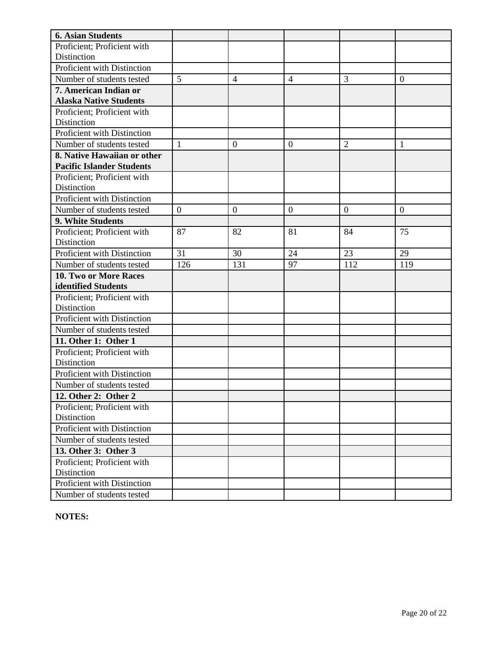| <b>6. Asian Students</b>                   |                |                |                |                |                  |
|--------------------------------------------|----------------|----------------|----------------|----------------|------------------|
| Proficient; Proficient with                |                |                |                |                |                  |
| Distinction                                |                |                |                |                |                  |
| Proficient with Distinction                |                |                |                |                |                  |
| Number of students tested                  | 5              | $\overline{4}$ | $\overline{4}$ | 3              | $\boldsymbol{0}$ |
| 7. American Indian or                      |                |                |                |                |                  |
| <b>Alaska Native Students</b>              |                |                |                |                |                  |
| Proficient; Proficient with                |                |                |                |                |                  |
| Distinction                                |                |                |                |                |                  |
| Proficient with Distinction                |                |                |                |                |                  |
| Number of students tested                  | $\mathbf{1}$   | $\mathbf{0}$   | $\overline{0}$ | $\overline{2}$ | 1                |
| 8. Native Hawaiian or other                |                |                |                |                |                  |
| <b>Pacific Islander Students</b>           |                |                |                |                |                  |
| Proficient; Proficient with                |                |                |                |                |                  |
| Distinction                                |                |                |                |                |                  |
| Proficient with Distinction                |                |                |                |                |                  |
| Number of students tested                  | $\overline{0}$ | $\theta$       | $\overline{0}$ | $\theta$       | $\overline{0}$   |
| 9. White Students                          |                |                |                |                |                  |
| Proficient; Proficient with                | 87             | 82             | 81             | 84             | 75               |
| Distinction                                |                |                |                |                |                  |
| Proficient with Distinction                | 31             | 30             | 24             | 23             | 29               |
| Number of students tested                  | 126            | 131            | 97             | 112            | 119              |
| 10. Two or More Races                      |                |                |                |                |                  |
| identified Students                        |                |                |                |                |                  |
| Proficient; Proficient with                |                |                |                |                |                  |
| Distinction<br>Proficient with Distinction |                |                |                |                |                  |
| Number of students tested                  |                |                |                |                |                  |
| 11. Other 1: Other 1                       |                |                |                |                |                  |
| Proficient; Proficient with                |                |                |                |                |                  |
| Distinction                                |                |                |                |                |                  |
| Proficient with Distinction                |                |                |                |                |                  |
| Number of students tested                  |                |                |                |                |                  |
| 12. Other 2: Other 2                       |                |                |                |                |                  |
| Proficient; Proficient with                |                |                |                |                |                  |
| Distinction                                |                |                |                |                |                  |
| Proficient with Distinction                |                |                |                |                |                  |
| Number of students tested                  |                |                |                |                |                  |
| 13. Other 3: Other 3                       |                |                |                |                |                  |
| Proficient; Proficient with                |                |                |                |                |                  |
| Distinction                                |                |                |                |                |                  |
| Proficient with Distinction                |                |                |                |                |                  |
| Number of students tested                  |                |                |                |                |                  |

**NOTES:**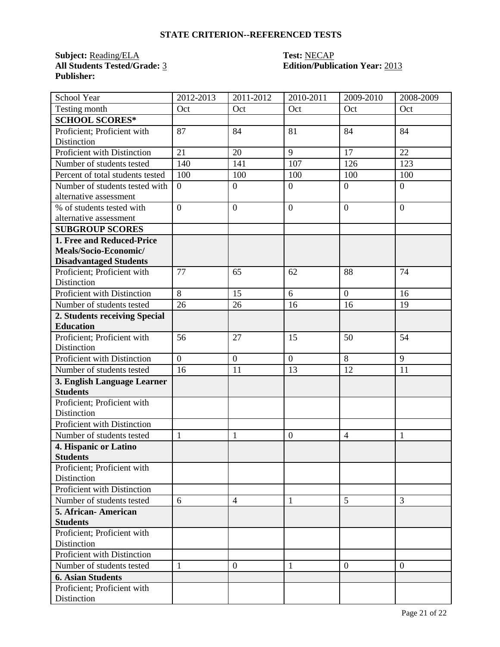## **STATE CRITERION--REFERENCED TESTS**

**Subject:** <u>Reading/ELA</u> **Test: NECAP**<br> **All Students Tested/Grade:** <u>3</u> **Decay Edition/Public Publisher:** 

# **All Students Tested/Grade:** 3 **Edition/Publication Year:** 2013

| School Year                                | 2012-2013      | 2011-2012        | 2010-2011      | 2009-2010      | 2008-2009      |
|--------------------------------------------|----------------|------------------|----------------|----------------|----------------|
| Testing month                              | Oct            | Oct              | Oct            | Oct            | Oct            |
| <b>SCHOOL SCORES*</b>                      |                |                  |                |                |                |
| Proficient; Proficient with                | 87             | 84               | 81             | 84             | 84             |
| Distinction                                |                |                  |                |                |                |
| Proficient with Distinction                | 21             | 20               | 9              | 17             | 22             |
| Number of students tested                  | 140            | 141              | 107            | 126            | 123            |
| Percent of total students tested           | 100            | 100              | 100            | 100            | 100            |
| Number of students tested with             | $\overline{0}$ | $\boldsymbol{0}$ | $\mathbf{0}$   | $\overline{0}$ | $\overline{0}$ |
| alternative assessment                     |                |                  |                |                |                |
| % of students tested with                  | $\overline{0}$ | $\overline{0}$   | $\overline{0}$ | $\overline{0}$ | $\overline{0}$ |
| alternative assessment                     |                |                  |                |                |                |
| <b>SUBGROUP SCORES</b>                     |                |                  |                |                |                |
| 1. Free and Reduced-Price                  |                |                  |                |                |                |
| Meals/Socio-Economic/                      |                |                  |                |                |                |
| <b>Disadvantaged Students</b>              | 77             | 65               | 62             | 88             | 74             |
| Proficient; Proficient with<br>Distinction |                |                  |                |                |                |
| Proficient with Distinction                | 8              | 15               | 6              | $\overline{0}$ | 16             |
| Number of students tested                  | 26             | 26               | 16             | 16             | 19             |
| 2. Students receiving Special              |                |                  |                |                |                |
| <b>Education</b>                           |                |                  |                |                |                |
| Proficient; Proficient with                | 56             | 27               | 15             | 50             | 54             |
| Distinction                                |                |                  |                |                |                |
| Proficient with Distinction                | $\overline{0}$ | $\overline{0}$   | $\overline{0}$ | 8              | 9              |
| Number of students tested                  | 16             | 11               | 13             | 12             | 11             |
| 3. English Language Learner                |                |                  |                |                |                |
| <b>Students</b>                            |                |                  |                |                |                |
| Proficient; Proficient with                |                |                  |                |                |                |
| Distinction                                |                |                  |                |                |                |
| Proficient with Distinction                |                |                  |                |                |                |
| Number of students tested                  | $\mathbf{1}$   | $\mathbf{1}$     | $\mathbf{0}$   | $\overline{4}$ | $\mathbf{1}$   |
| 4. Hispanic or Latino                      |                |                  |                |                |                |
| <b>Students</b>                            |                |                  |                |                |                |
| Proficient; Proficient with                |                |                  |                |                |                |
| Distinction                                |                |                  |                |                |                |
| Proficient with Distinction                |                |                  |                |                |                |
| Number of students tested                  | 6              | $\overline{4}$   | $\mathbf{1}$   | 5              | 3              |
| 5. African-American                        |                |                  |                |                |                |
| <b>Students</b>                            |                |                  |                |                |                |
| Proficient; Proficient with                |                |                  |                |                |                |
| Distinction                                |                |                  |                |                |                |
| Proficient with Distinction                |                |                  |                |                |                |
| Number of students tested                  | $\mathbf{1}$   | $\boldsymbol{0}$ | $\mathbf{1}$   | $\overline{0}$ | $\overline{0}$ |
| <b>6. Asian Students</b>                   |                |                  |                |                |                |
| Proficient; Proficient with                |                |                  |                |                |                |
| Distinction                                |                |                  |                |                |                |